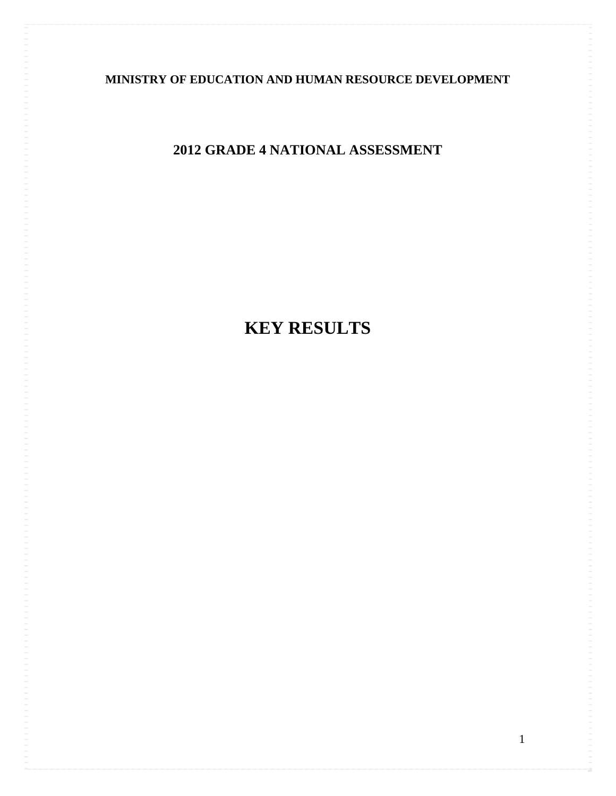# **MINISTRY OF EDUCATION AND HUMAN RESOURCE DEVELOPMENT**

# **2012 GRADE 4 NATIONAL ASSESSMENT**

# **KEY RESULTS**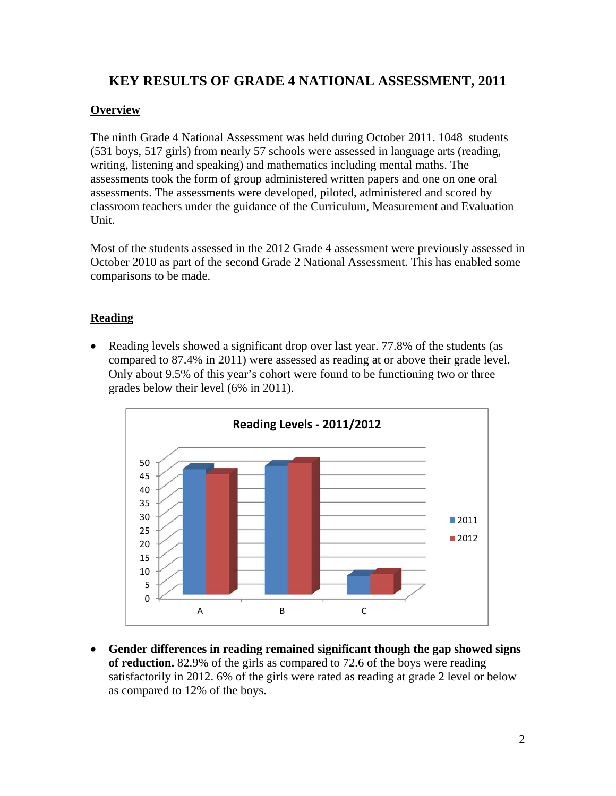# **KEY RESULTS OF GRADE 4 NATIONAL ASSESSMENT, 2011**

#### **Overview**

The ninth Grade 4 National Assessment was held during October 2011. 1048 students (531 boys, 517 girls) from nearly 57 schools were assessed in language arts (reading, writing, listening and speaking) and mathematics including mental maths. The assessments took the form of group administered written papers and one on one oral assessments. The assessments were developed, piloted, administered and scored by classroom teachers under the guidance of the Curriculum, Measurement and Evaluation Unit.

Most of the students assessed in the 2012 Grade 4 assessment were previously assessed in October 2010 as part of the second Grade 2 National Assessment. This has enabled some comparisons to be made.

## **Reading**

• Reading levels showed a significant drop over last year. 77.8% of the students (as compared to 87.4% in 2011) were assessed as reading at or above their grade level. Only about 9.5% of this year's cohort were found to be functioning two or three grades below their level (6% in 2011).



 **Gender differences in reading remained significant though the gap showed signs of reduction.** 82.9% of the girls as compared to 72.6 of the boys were reading satisfactorily in 2012. 6% of the girls were rated as reading at grade 2 level or below as compared to 12% of the boys.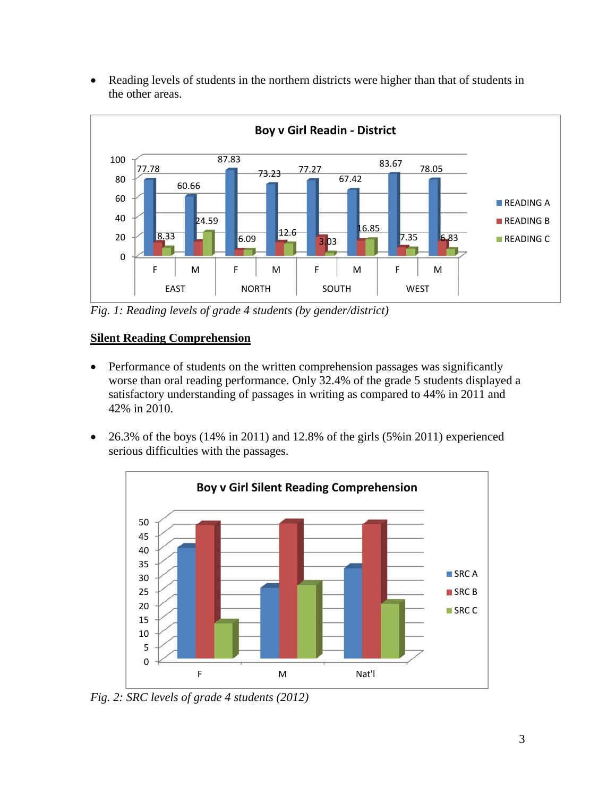Reading levels of students in the northern districts were higher than that of students in the other areas.



*Fig. 1: Reading levels of grade 4 students (by gender/district)* 

## **Silent Reading Comprehension**

- Performance of students on the written comprehension passages was significantly worse than oral reading performance. Only 32.4% of the grade 5 students displayed a satisfactory understanding of passages in writing as compared to 44% in 2011 and 42% in 2010.
- $\bullet$  26.3% of the boys (14% in 2011) and 12.8% of the girls (5% in 2011) experienced serious difficulties with the passages.



*Fig. 2: SRC levels of grade 4 students (2012)*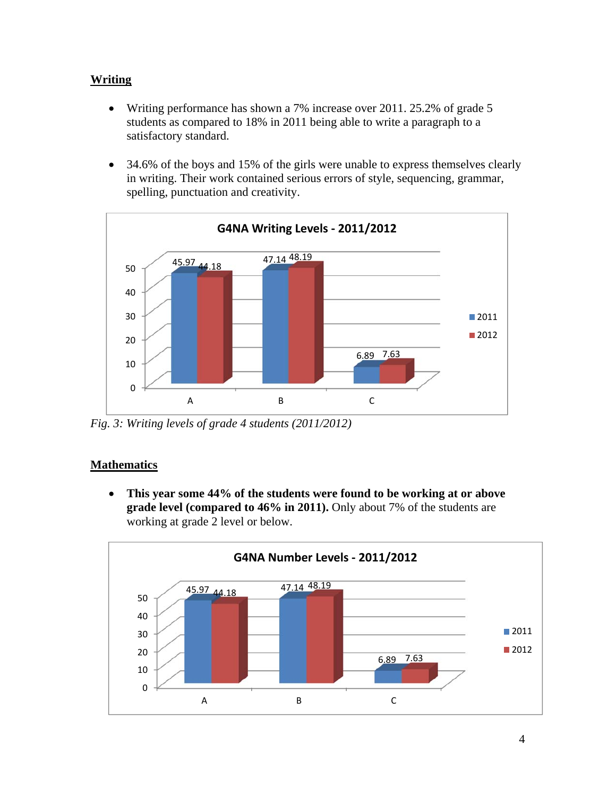## **Writing**

- Writing performance has shown a 7% increase over 2011. 25.2% of grade 5 students as compared to 18% in 2011 being able to write a paragraph to a satisfactory standard.
- 34.6% of the boys and 15% of the girls were unable to express themselves clearly in writing. Their work contained serious errors of style, sequencing, grammar, spelling, punctuation and creativity.



*Fig. 3: Writing levels of grade 4 students (2011/2012)* 

## **Mathematics**

 **This year some 44% of the students were found to be working at or above grade level (compared to 46% in 2011).** Only about 7% of the students are working at grade 2 level or below.

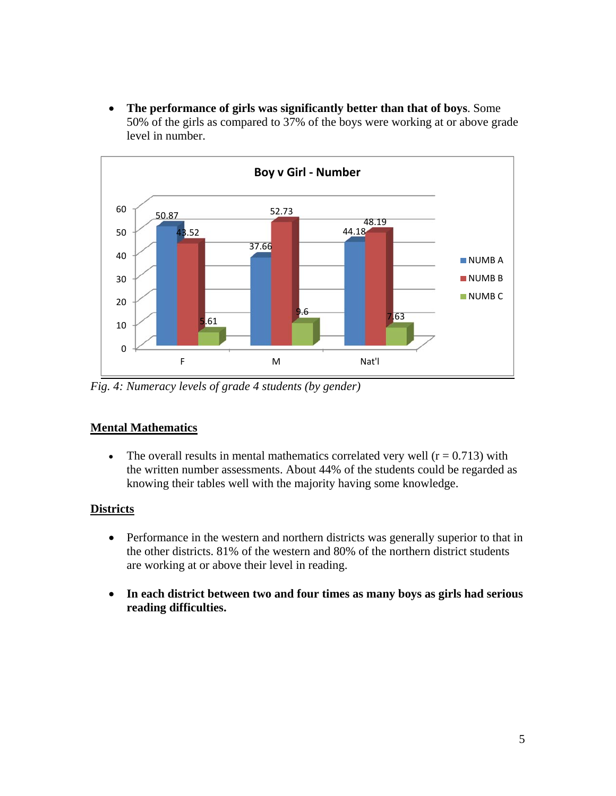**The performance of girls was significantly better than that of boys**. Some 50% of the girls as compared to 37% of the boys were working at or above grade level in number.



*Fig. 4: Numeracy levels of grade 4 students (by gender)* 

# **Mental Mathematics**

• The overall results in mental mathematics correlated very well  $(r = 0.713)$  with the written number assessments. About 44% of the students could be regarded as knowing their tables well with the majority having some knowledge.

# **Districts**

- Performance in the western and northern districts was generally superior to that in the other districts. 81% of the western and 80% of the northern district students are working at or above their level in reading.
- **In each district between two and four times as many boys as girls had serious reading difficulties.**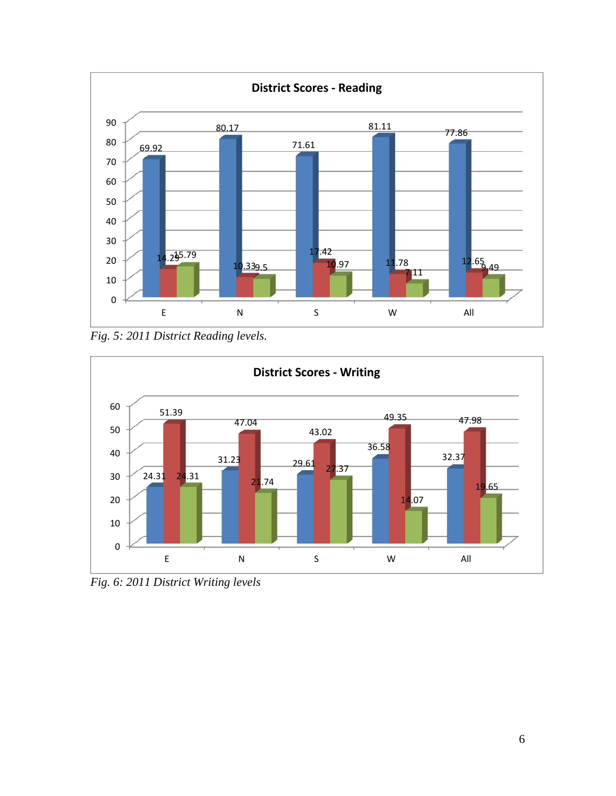

*Fig. 5: 2011 District Reading levels.* 



*Fig. 6: 2011 District Writing levels*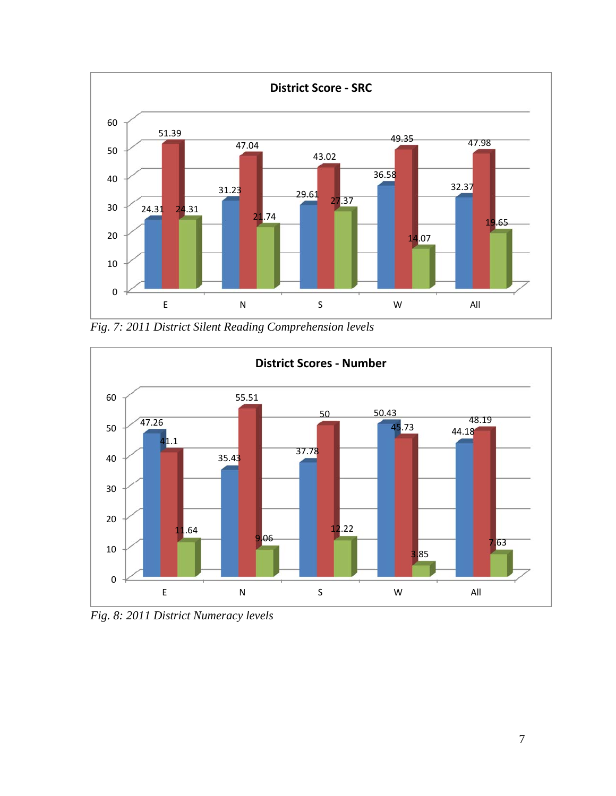

*Fig. 7: 2011 District Silent Reading Comprehension levels* 



*Fig. 8: 2011 District Numeracy levels*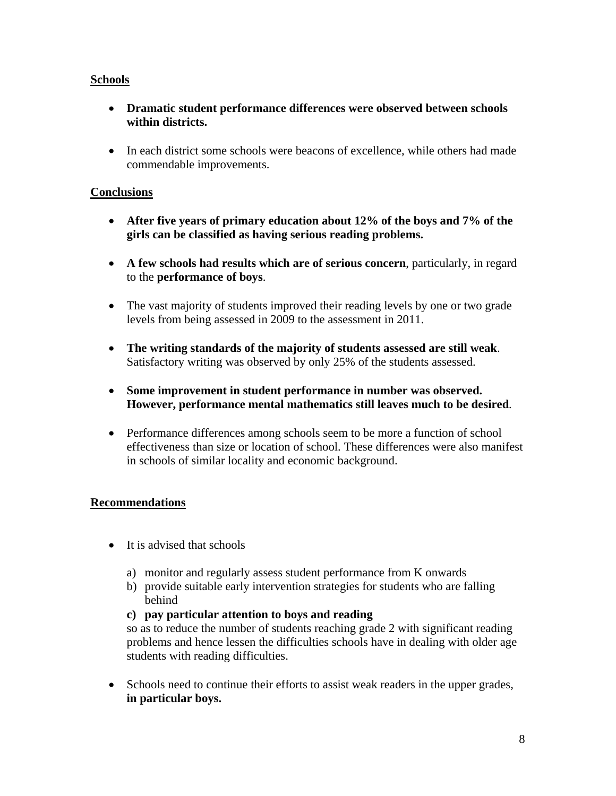### **Schools**

- **Dramatic student performance differences were observed between schools within districts.**
- In each district some schools were beacons of excellence, while others had made commendable improvements.

#### **Conclusions**

- **After five years of primary education about 12% of the boys and 7% of the girls can be classified as having serious reading problems.**
- **A few schools had results which are of serious concern**, particularly, in regard to the **performance of boys**.
- The vast majority of students improved their reading levels by one or two grade levels from being assessed in 2009 to the assessment in 2011.
- **The writing standards of the majority of students assessed are still weak**. Satisfactory writing was observed by only 25% of the students assessed.
- **Some improvement in student performance in number was observed. However, performance mental mathematics still leaves much to be desired**.
- Performance differences among schools seem to be more a function of school effectiveness than size or location of school. These differences were also manifest in schools of similar locality and economic background.

#### **Recommendations**

- It is advised that schools
	- a) monitor and regularly assess student performance from K onwards
	- b) provide suitable early intervention strategies for students who are falling behind

#### **c) pay particular attention to boys and reading**

so as to reduce the number of students reaching grade 2 with significant reading problems and hence lessen the difficulties schools have in dealing with older age students with reading difficulties.

• Schools need to continue their efforts to assist weak readers in the upper grades, **in particular boys.**